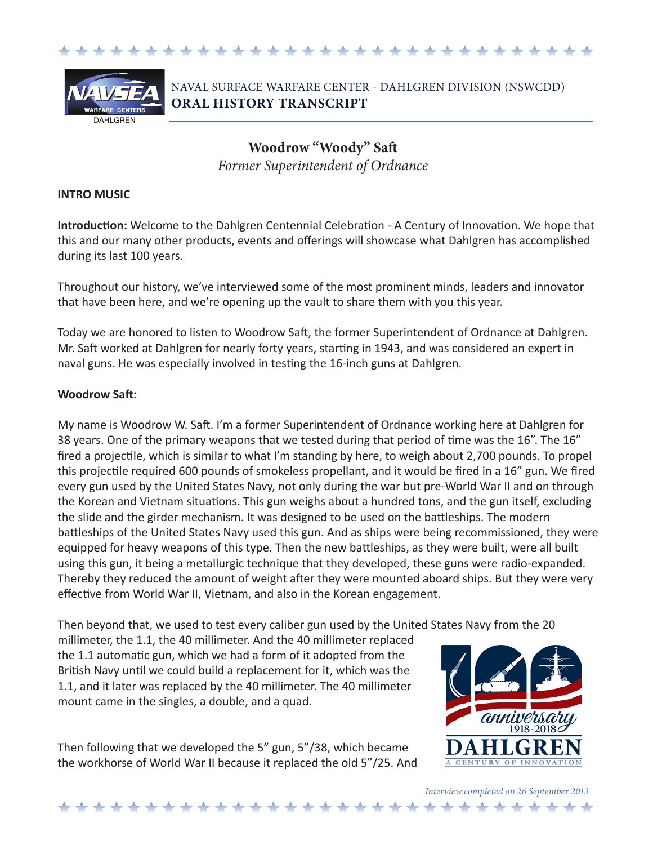



NAVAL SURFACE WARFARE CENTER - DAHLGREN DIVISION (NSWCDD) **ORAL HISTORY TRANSCRIPT**

> **Woodrow "Woody" Saft** *Former Superintendent of Ordnance*

## **INTRO MUSIC**

**Introduction:** Welcome to the Dahlgren Centennial Celebration - A Century of Innovation. We hope that this and our many other products, events and offerings will showcase what Dahlgren has accomplished during its last 100 years.

Throughout our history, we've interviewed some of the most prominent minds, leaders and innovator that have been here, and we're opening up the vault to share them with you this year.

Today we are honored to listen to Woodrow Saft, the former Superintendent of Ordnance at Dahlgren. Mr. Saft worked at Dahlgren for nearly forty years, starting in 1943, and was considered an expert in naval guns. He was especially involved in testing the 16-inch guns at Dahlgren.

## **Woodrow Saft:**

My name is Woodrow W. Saft. I'm a former Superintendent of Ordnance working here at Dahlgren for 38 years. One of the primary weapons that we tested during that period of time was the 16". The 16" fired a projectile, which is similar to what I'm standing by here, to weigh about 2,700 pounds. To propel this projectile required 600 pounds of smokeless propellant, and it would be fired in a 16" gun. We fired every gun used by the United States Navy, not only during the war but pre-World War II and on through the Korean and Vietnam situations. This gun weighs about a hundred tons, and the gun itself, excluding the slide and the girder mechanism. It was designed to be used on the battleships. The modern battleships of the United States Navy used this gun. And as ships were being recommissioned, they were equipped for heavy weapons of this type. Then the new battleships, as they were built, were all built using this gun, it being a metallurgic technique that they developed, these guns were radio-expanded. Thereby they reduced the amount of weight after they were mounted aboard ships. But they were very effective from World War II, Vietnam, and also in the Korean engagement.

Then beyond that, we used to test every caliber gun used by the United States Navy from the 20

millimeter, the 1.1, the 40 millimeter. And the 40 millimeter replaced the 1.1 automatic gun, which we had a form of it adopted from the British Navy until we could build a replacement for it, which was the 1.1, and it later was replaced by the 40 millimeter. The 40 millimeter mount came in the singles, a double, and a quad.

Then following that we developed the 5" gun, 5"/38, which became the workhorse of World War II because it replaced the old 5"/25. And

\* \* \* \* \* \* \* \* \* \* \* \* \* \* \* \* \* \* \*



*Interview completed on 26 September 2013*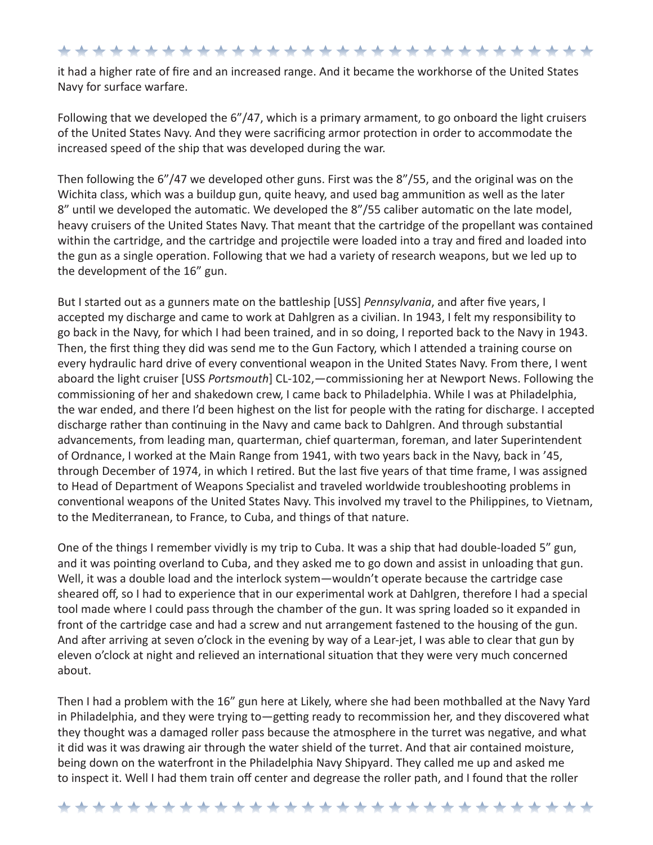\*\*\*\*\*\*\*\*\*\*\*\*\*\*\*\*\*\*\*\*\*\*\*\*\*\*\*\*\*\*

it had a higher rate of fire and an increased range. And it became the workhorse of the United States Navy for surface warfare.

Following that we developed the 6"/47, which is a primary armament, to go onboard the light cruisers of the United States Navy. And they were sacrificing armor protection in order to accommodate the increased speed of the ship that was developed during the war.

Then following the 6"/47 we developed other guns. First was the 8"/55, and the original was on the Wichita class, which was a buildup gun, quite heavy, and used bag ammunition as well as the later 8" until we developed the automatic. We developed the 8"/55 caliber automatic on the late model, heavy cruisers of the United States Navy. That meant that the cartridge of the propellant was contained within the cartridge, and the cartridge and projectile were loaded into a tray and fired and loaded into the gun as a single operation. Following that we had a variety of research weapons, but we led up to the development of the 16" gun.

But I started out as a gunners mate on the battleship [USS] *Pennsylvania*, and after five years, I accepted my discharge and came to work at Dahlgren as a civilian. In 1943, I felt my responsibility to go back in the Navy, for which I had been trained, and in so doing, I reported back to the Navy in 1943. Then, the first thing they did was send me to the Gun Factory, which I attended a training course on every hydraulic hard drive of every conventional weapon in the United States Navy. From there, I went aboard the light cruiser [USS *Portsmouth*] CL-102,—commissioning her at Newport News. Following the commissioning of her and shakedown crew, I came back to Philadelphia. While I was at Philadelphia, the war ended, and there I'd been highest on the list for people with the rating for discharge. I accepted discharge rather than continuing in the Navy and came back to Dahlgren. And through substantial advancements, from leading man, quarterman, chief quarterman, foreman, and later Superintendent of Ordnance, I worked at the Main Range from 1941, with two years back in the Navy, back in '45, through December of 1974, in which I retired. But the last five years of that time frame, I was assigned to Head of Department of Weapons Specialist and traveled worldwide troubleshooting problems in conventional weapons of the United States Navy. This involved my travel to the Philippines, to Vietnam, to the Mediterranean, to France, to Cuba, and things of that nature.

One of the things I remember vividly is my trip to Cuba. It was a ship that had double-loaded 5" gun, and it was pointing overland to Cuba, and they asked me to go down and assist in unloading that gun. Well, it was a double load and the interlock system—wouldn't operate because the cartridge case sheared off, so I had to experience that in our experimental work at Dahlgren, therefore I had a special tool made where I could pass through the chamber of the gun. It was spring loaded so it expanded in front of the cartridge case and had a screw and nut arrangement fastened to the housing of the gun. And after arriving at seven o'clock in the evening by way of a Lear-jet, I was able to clear that gun by eleven o'clock at night and relieved an international situation that they were very much concerned about.

Then I had a problem with the 16" gun here at Likely, where she had been mothballed at the Navy Yard in Philadelphia, and they were trying to—getting ready to recommission her, and they discovered what they thought was a damaged roller pass because the atmosphere in the turret was negative, and what it did was it was drawing air through the water shield of the turret. And that air contained moisture, being down on the waterfront in the Philadelphia Navy Shipyard. They called me up and asked me to inspect it. Well I had them train off center and degrease the roller path, and I found that the roller

\*\*\*\*\*\*\*\*\*\*\*\*\*\*\*\*\*\*\*\*\*\*\*\*\*\*\*\*\*\*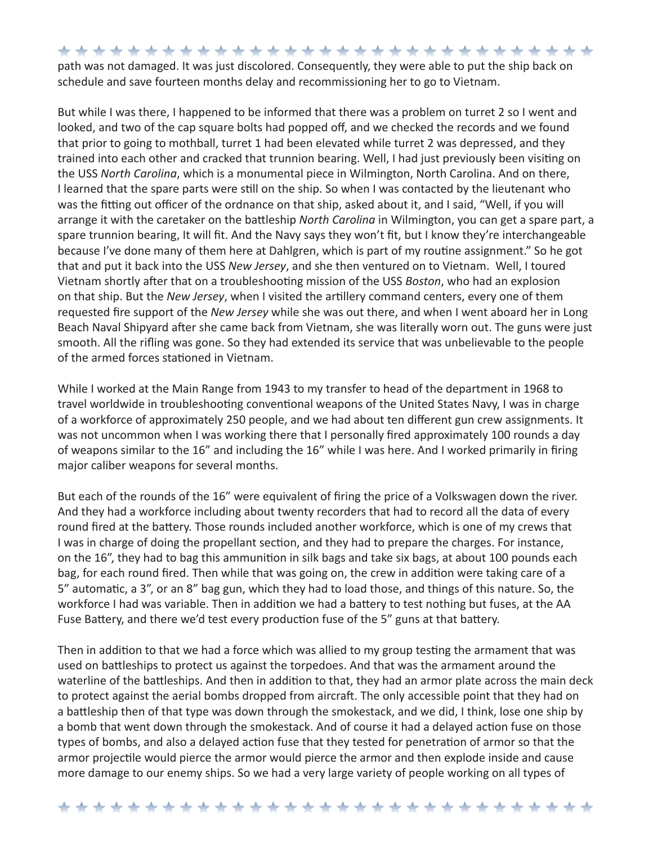\*\*\*\*\*\*\*\*\*\*\*\*\*\*\*\*\*\*\*\*\*\*\*\*\*\*\*\*\*\*\* path was not damaged. It was just discolored. Consequently, they were able to put the ship back on schedule and save fourteen months delay and recommissioning her to go to Vietnam.

But while I was there, I happened to be informed that there was a problem on turret 2 so I went and looked, and two of the cap square bolts had popped off, and we checked the records and we found that prior to going to mothball, turret 1 had been elevated while turret 2 was depressed, and they trained into each other and cracked that trunnion bearing. Well, I had just previously been visiting on the USS *North Carolina*, which is a monumental piece in Wilmington, North Carolina. And on there, I learned that the spare parts were still on the ship. So when I was contacted by the lieutenant who was the fitting out officer of the ordnance on that ship, asked about it, and I said, "Well, if you will arrange it with the caretaker on the battleship *North Carolina* in Wilmington, you can get a spare part, a spare trunnion bearing, It will fit. And the Navy says they won't fit, but I know they're interchangeable because I've done many of them here at Dahlgren, which is part of my routine assignment." So he got that and put it back into the USS *New Jersey*, and she then ventured on to Vietnam. Well, I toured Vietnam shortly after that on a troubleshooting mission of the USS *Boston*, who had an explosion on that ship. But the *New Jersey*, when I visited the artillery command centers, every one of them requested fire support of the *New Jersey* while she was out there, and when I went aboard her in Long Beach Naval Shipyard after she came back from Vietnam, she was literally worn out. The guns were just smooth. All the rifling was gone. So they had extended its service that was unbelievable to the people of the armed forces stationed in Vietnam.

While I worked at the Main Range from 1943 to my transfer to head of the department in 1968 to travel worldwide in troubleshooting conventional weapons of the United States Navy, I was in charge of a workforce of approximately 250 people, and we had about ten different gun crew assignments. It was not uncommon when I was working there that I personally fired approximately 100 rounds a day of weapons similar to the 16" and including the 16" while I was here. And I worked primarily in firing major caliber weapons for several months.

But each of the rounds of the 16" were equivalent of firing the price of a Volkswagen down the river. And they had a workforce including about twenty recorders that had to record all the data of every round fired at the battery. Those rounds included another workforce, which is one of my crews that I was in charge of doing the propellant section, and they had to prepare the charges. For instance, on the 16", they had to bag this ammunition in silk bags and take six bags, at about 100 pounds each bag, for each round fired. Then while that was going on, the crew in addition were taking care of a 5" automatic, a 3", or an 8" bag gun, which they had to load those, and things of this nature. So, the workforce I had was variable. Then in addition we had a battery to test nothing but fuses, at the AA Fuse Battery, and there we'd test every production fuse of the 5" guns at that battery.

Then in addition to that we had a force which was allied to my group testing the armament that was used on battleships to protect us against the torpedoes. And that was the armament around the waterline of the battleships. And then in addition to that, they had an armor plate across the main deck to protect against the aerial bombs dropped from aircraft. The only accessible point that they had on a battleship then of that type was down through the smokestack, and we did, I think, lose one ship by a bomb that went down through the smokestack. And of course it had a delayed action fuse on those types of bombs, and also a delayed action fuse that they tested for penetration of armor so that the armor projectile would pierce the armor would pierce the armor and then explode inside and cause more damage to our enemy ships. So we had a very large variety of people working on all types of

\*\*\*\*\*\*\*\*\*\*\*\*\*\*\*\*\*\*\*\*\*\*\*\*\*\*\*\*\*\*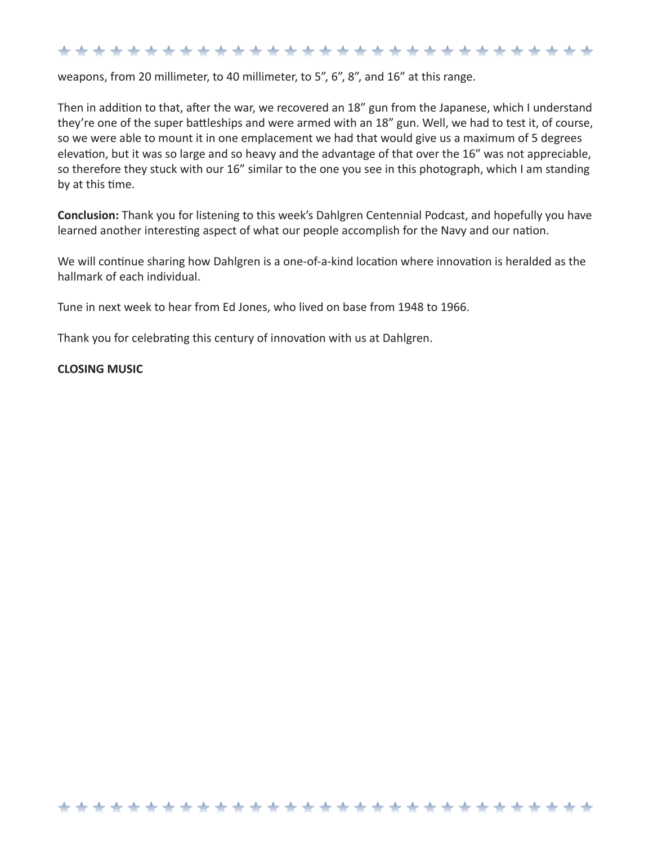## \*\*\*\*\*\*\*\*\*\*\*\*\*\*\*\*\*\*\*\*\*\*\*\*\*\*\*\*\*\*

weapons, from 20 millimeter, to 40 millimeter, to 5", 6", 8", and 16" at this range.

Then in addition to that, after the war, we recovered an 18" gun from the Japanese, which I understand they're one of the super battleships and were armed with an 18" gun. Well, we had to test it, of course, so we were able to mount it in one emplacement we had that would give us a maximum of 5 degrees elevation, but it was so large and so heavy and the advantage of that over the 16" was not appreciable, so therefore they stuck with our 16" similar to the one you see in this photograph, which I am standing by at this time.

**Conclusion:** Thank you for listening to this week's Dahlgren Centennial Podcast, and hopefully you have learned another interesting aspect of what our people accomplish for the Navy and our nation.

We will continue sharing how Dahlgren is a one-of-a-kind location where innovation is heralded as the hallmark of each individual.

\*\*\*\*\*\*\*\*\*\*\*\*\*\*\*\*\*\*\*\*\*\*\*\*\*\*\*\*\*\*\*

Tune in next week to hear from Ed Jones, who lived on base from 1948 to 1966.

Thank you for celebrating this century of innovation with us at Dahlgren.

## **CLOSING MUSIC**